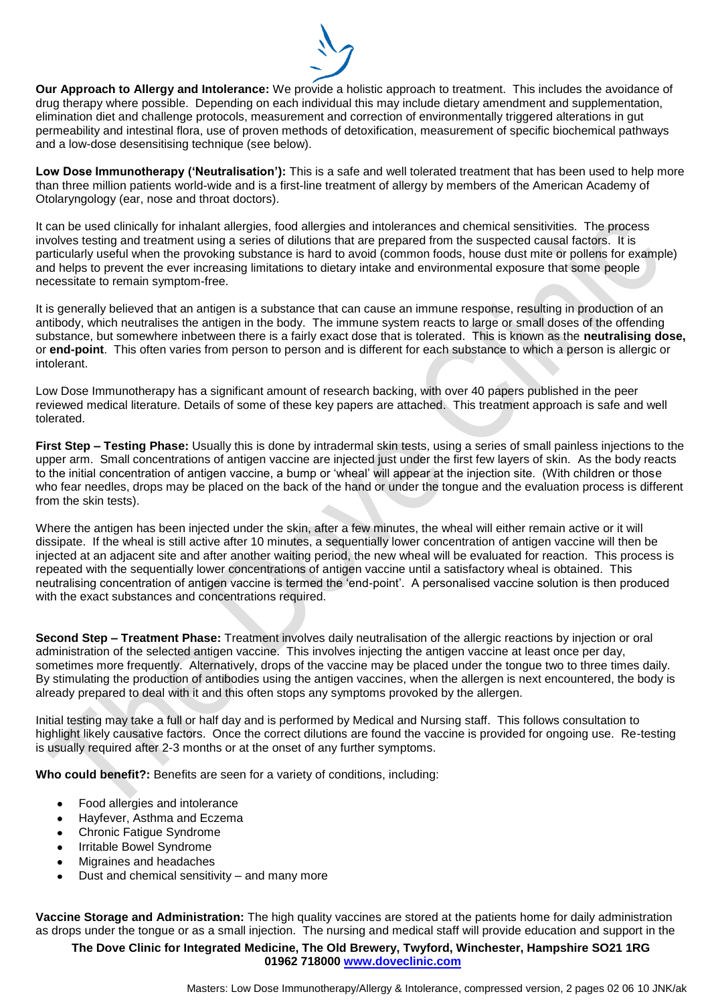

**Our Approach to Allergy and Intolerance:** We provide a holistic approach to treatment. This includes the avoidance of drug therapy where possible. Depending on each individual this may include dietary amendment and supplementation, elimination diet and challenge protocols, measurement and correction of environmentally triggered alterations in gut permeability and intestinal flora, use of proven methods of detoxification, measurement of specific biochemical pathways and a low-dose desensitising technique (see below).

**Low Dose Immunotherapy ('Neutralisation'):** This is a safe and well tolerated treatment that has been used to help more than three million patients world-wide and is a first-line treatment of allergy by members of the American Academy of Otolaryngology (ear, nose and throat doctors).

It can be used clinically for inhalant allergies, food allergies and intolerances and chemical sensitivities. The process involves testing and treatment using a series of dilutions that are prepared from the suspected causal factors. It is particularly useful when the provoking substance is hard to avoid (common foods, house dust mite or pollens for example) and helps to prevent the ever increasing limitations to dietary intake and environmental exposure that some people necessitate to remain symptom-free.

It is generally believed that an antigen is a substance that can cause an immune response, resulting in production of an antibody, which neutralises the antigen in the body. The immune system reacts to large or small doses of the offending substance, but somewhere inbetween there is a fairly exact dose that is tolerated. This is known as the **neutralising dose,** or **end-point**. This often varies from person to person and is different for each substance to which a person is allergic or intolerant.

Low Dose Immunotherapy has a significant amount of research backing, with over 40 papers published in the peer reviewed medical literature. Details of some of these key papers are attached. This treatment approach is safe and well tolerated.

**First Step – Testing Phase:** Usually this is done by intradermal skin tests, using a series of small painless injections to the upper arm. Small concentrations of antigen vaccine are injected just under the first few layers of skin. As the body reacts to the initial concentration of antigen vaccine, a bump or 'wheal' will appear at the injection site. (With children or those who fear needles, drops may be placed on the back of the hand or under the tongue and the evaluation process is different from the skin tests).

Where the antigen has been injected under the skin, after a few minutes, the wheal will either remain active or it will dissipate. If the wheal is still active after 10 minutes, a sequentially lower concentration of antigen vaccine will then be injected at an adjacent site and after another waiting period, the new wheal will be evaluated for reaction. This process is repeated with the sequentially lower concentrations of antigen vaccine until a satisfactory wheal is obtained. This neutralising concentration of antigen vaccine is termed the 'end-point'. A personalised vaccine solution is then produced with the exact substances and concentrations required.

**Second Step – Treatment Phase:** Treatment involves daily neutralisation of the allergic reactions by injection or oral administration of the selected antigen vaccine. This involves injecting the antigen vaccine at least once per day, sometimes more frequently. Alternatively, drops of the vaccine may be placed under the tongue two to three times daily. By stimulating the production of antibodies using the antigen vaccines, when the allergen is next encountered, the body is already prepared to deal with it and this often stops any symptoms provoked by the allergen.

Initial testing may take a full or half day and is performed by Medical and Nursing staff. This follows consultation to highlight likely causative factors. Once the correct dilutions are found the vaccine is provided for ongoing use. Re-testing is usually required after 2-3 months or at the onset of any further symptoms.

**Who could benefit?:** Benefits are seen for a variety of conditions, including:

- Food allergies and intolerance
- Hayfever, Asthma and Eczema
- Chronic Fatigue Syndrome
- Irritable Bowel Syndrome
- Migraines and headaches
- Dust and chemical sensitivity and many more

**Vaccine Storage and Administration:** The high quality vaccines are stored at the patients home for daily administration as drops under the tongue or as a small injection. The nursing and medical staff will provide education and support in the

## **The Dove Clinic for Integrated Medicine, The Old Brewery, Twyford, Winchester, Hampshire SO21 1RG 01962 718000 www.doveclinic.com**